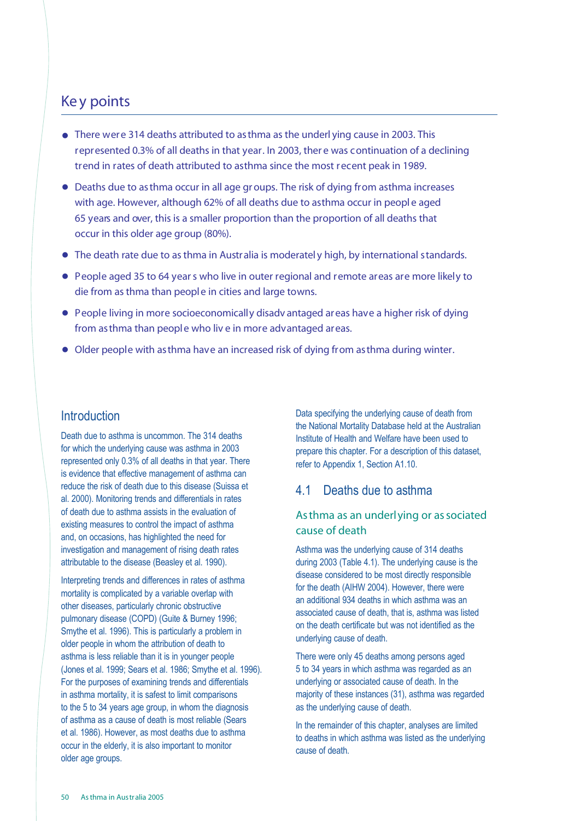# Ke y points

- There were 314 deaths attributed to asthma as the underl ying cause in 2003. This .represented 0.3% of all deaths in that year. In 2003, ther e was continuation of a declining trend in rates of death attributed to asthma since the most recent peak in 1989.
- . Deaths due to asthma occur in all age groups. The risk of dying from asthma increases with age. However, although 62% of all deaths due to asthma occur in people aged 65 years and over, this is a smaller proportion than the proportion of all deaths that occur in this older age group (80%).
- . The death rate due to asthma in Australia is moderatel <sup>y</sup> high, by international standards.
- . People aged <sup>35</sup> to <sup>64</sup> years who live in outer regional and remote areas are more likely to die from asthma than people in cities and large towns.
- . People living in more socioeconomically disadv antaged areas have <sup>a</sup> higher risk of dying from asthma than people who liv e in more advantaged areas.
- . Older people with asthma have an increased risk of dying from asthma during winter.

## **Introduction**

Death due to asthma is uncommon. The 314 deaths for which the underlying cause was asthma in 2003 represented only 0.3% of all deaths in that year. There is evidence that effective management of asthma can reduce the risk of death due to this disease (Suissa et al. 2000). Monitoring trends and differentials in rates of death due to asthma assists in the evaluation of existing measures to control the impact of asthma and, on occasions, has highlighted the need for investigation and management of rising death rates attributable to the disease (Beasley et al. 1990).

Interpreting trends and differences in rates of asthma mortality is complicated by a variable overlap with other diseases, particularly chronic obstructive pulmonary disease (COPD) (Guite & Burney 1996; Smythe et al. 1996). This is particularly a problem in older people in whom the attribution of death to asthma is less reliable than it is in younger people (Jones et al. 1999; Sears et al. 1986; Smythe et al. 1996). For the purposes of examining trends and differentials in asthma mortality, it is safest to limit comparisons to the 5 to 34 years age group, in whom the diagnosis of asthma as a cause of death is most reliable (Sears et al. 1986). However, as most deaths due to asthma occur in the elderly, it is also important to monitor older age groups.

Data specifying the underlying cause of death from the National Mortality Database held at the Australian Institute of Health and Welfare have been used to prepare this chapter. For a description of this dataset, refer to Appendix 1, Section A1.10.

## 4.1 Deaths due to asthma

## As thma as an underlying or as sociated cause of death

Asthma was the underlying cause of 314 deaths during 2003 (Table 4.1). The underlying cause is the disease considered to be most directly responsible for the death (AIHW 2004). However, there were an additional 934 deaths in which asthma was an associated cause of death, that is, asthma was listed on the death certificate but was not identified as the underlying cause of death.

There were only 45 deaths among persons aged 5 to 34 years in which asthma was regarded as an underlying or associated cause of death. In the majority of these instances (31), asthma was regarded as the underlying cause of death.

In the remainder of this chapter, analyses are limited to deaths in which asthma was listed as the underlying cause of death.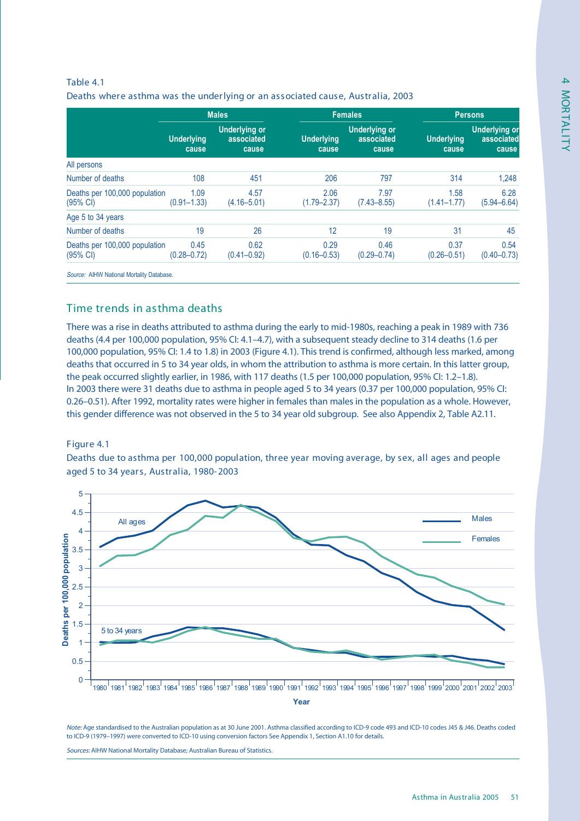## Table 4.1 Deaths where asthma was the underlying or an associated cause, Australia, 2003

|                                                     | <b>Males</b>               |                                             | <b>Females</b>             |                                             | <b>Persons</b>             |                                             |
|-----------------------------------------------------|----------------------------|---------------------------------------------|----------------------------|---------------------------------------------|----------------------------|---------------------------------------------|
|                                                     | <b>Underlying</b><br>cause | <b>Underlying or</b><br>associated<br>cause | <b>Underlying</b><br>cause | <b>Underlying or</b><br>associated<br>cause | <b>Underlying</b><br>cause | <b>Underlying or</b><br>associated<br>cause |
| All persons                                         |                            |                                             |                            |                                             |                            |                                             |
| Number of deaths                                    | 108                        | 451                                         | 206                        | 797                                         | 314                        | 1,248                                       |
| Deaths per 100,000 population<br>$(95% \text{ Cl})$ | 1.09<br>$(0.91 - 1.33)$    | 4.57<br>$(4.16 - 5.01)$                     | 2.06<br>$(1.79 - 2.37)$    | 7.97<br>$(7.43 - 8.55)$                     | 1.58<br>$(1.41 - 1.77)$    | 6.28<br>$(5.94 - 6.64)$                     |
| Age 5 to 34 years                                   |                            |                                             |                            |                                             |                            |                                             |
| Number of deaths                                    | 19                         | 26                                          | 12                         | 19                                          | 31                         | 45                                          |
| Deaths per 100,000 population<br>$(95% \text{ Cl})$ | 0.45<br>$(0.28 - 0.72)$    | 0.62<br>$(0.41 - 0.92)$                     | 0.29<br>$(0.16 - 0.53)$    | 0.46<br>$(0.29 - 0.74)$                     | 0.37<br>$(0.26 - 0.51)$    | 0.54<br>$(0.40 - 0.73)$                     |

Source: AIHW National Mortality Database.

## Time trends in asthma deaths

There was a rise in deaths attributed to asthma during the early to mid-1980s, reaching a peak in 1989 with 736 deaths (4.4 per 100,000 population, 95% CI: 4.1–4.7), with a subsequent steady decline to 314 deaths (1.6 per 100,000 population, 95% CI: 1.4 to 1.8) in 2003 (Figure 4.1). This trend is confirmed, although less marked, among deaths that occurred in 5 to 34 year olds, in whom the attribution to asthma is more certain. In this latter group, the peak occurred slightly earlier, in 1986, with 117 deaths (1.5 per 100,000 population, 95% CI: 1.2–1.8). In 2003 there were 31 deaths due to asthma in people aged 5 to 34 years (0.37 per 100,000 population, 95% CI: 0.26–0.51). After 1992, mortality rates were higher in females than males in the population as a whole. However, this gender difference was not observed in the 5 to 34 year old subgroup. See also Appendix 2, Table A2.11.

### Figure 4.1

Deaths due to asthma per 100,000 population, three year moving average, by sex, all ages and people aged 5 to 34 years, Australia, 1980-2003



Note: Age standardised to the Australian population as at 30 June 2001. Asthma classified according to ICD-9 code 493 and ICD-10 codes J45 & J46. Deaths coded to ICD-9 (1979–1997) were converted to ICD-10 using conversion factors See Appendix 1, Section A1.10 for details.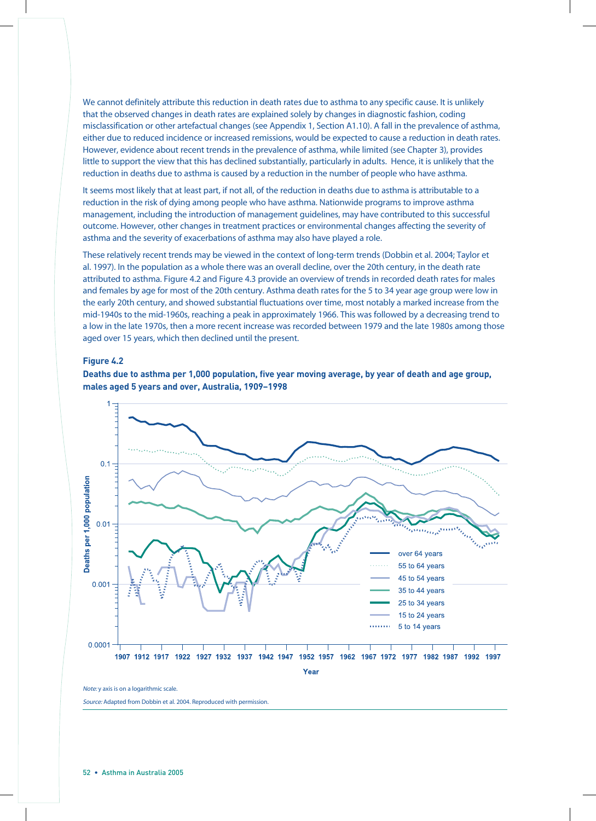We cannot definitely attribute this reduction in death rates due to asthma to any specific cause. It is unlikely that the observed changes in death rates are explained solely by changes in diagnostic fashion, coding misclassification or other artefactual changes (see Appendix 1, Section A1.10). A fall in the prevalence of asthma, either due to reduced incidence or increased remissions, would be expected to cause a reduction in death rates. However, evidence about recent trends in the prevalence of asthma, while limited (see Chapter 3), provides little to support the view that this has declined substantially, particularly in adults. Hence, it is unlikely that the reduction in deaths due to asthma is caused by a reduction in the number of people who have asthma.

It seems most likely that at least part, if not all, of the reduction in deaths due to asthma is attributable to a reduction in the risk of dying among people who have asthma. Nationwide programs to improve asthma management, including the introduction of management guidelines, may have contributed to this successful outcome. However, other changes in treatment practices or environmental changes affecting the severity of asthma and the severity of exacerbations of asthma may also have played a role.

These relatively recent trends may be viewed in the context of long-term trends (Dobbin et al. 2004; Taylor et al. 1997). In the population as a whole there was an overall decline, over the 20th century, in the death rate attributed to asthma. Figure 4.2 and Figure 4.3 provide an overview of trends in recorded death rates for males and females by age for most of the 20th century. Asthma death rates for the 5 to 34 year age group were low in the early 20th century, and showed substantial fluctuations over time, most notably a marked increase from the mid-1940s to the mid-1960s, reaching a peak in approximately 1966. This was followed by a decreasing trend to a low in the late 1970s, then a more recent increase was recorded between 1979 and the late 1980s among those aged over 15 years, which then declined until the present.

#### **Figure 4.2**





Note: y axis is on a logarithmic scale.

Source: Adapted from Dobbin et al. 2004. Reproduced with permission.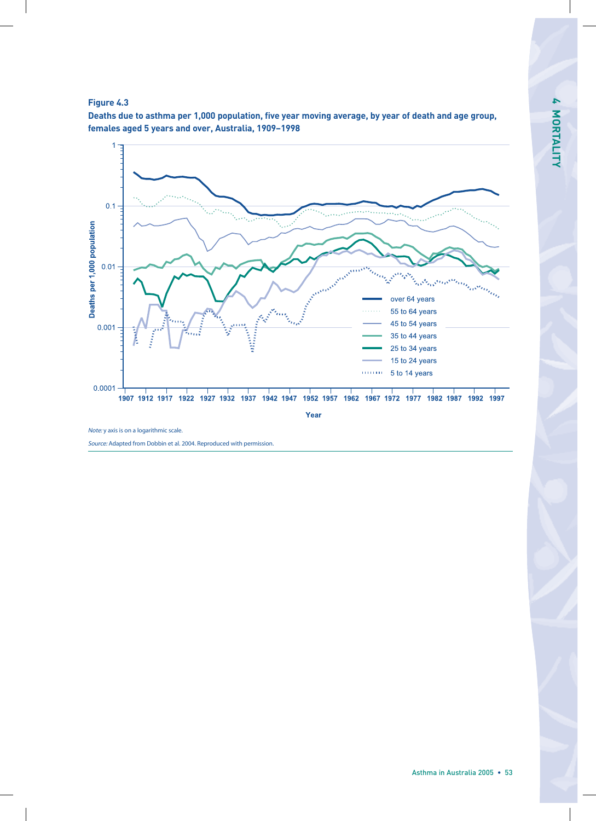





Source: Adapted from Dobbin et al. 2004. Reproduced with permission.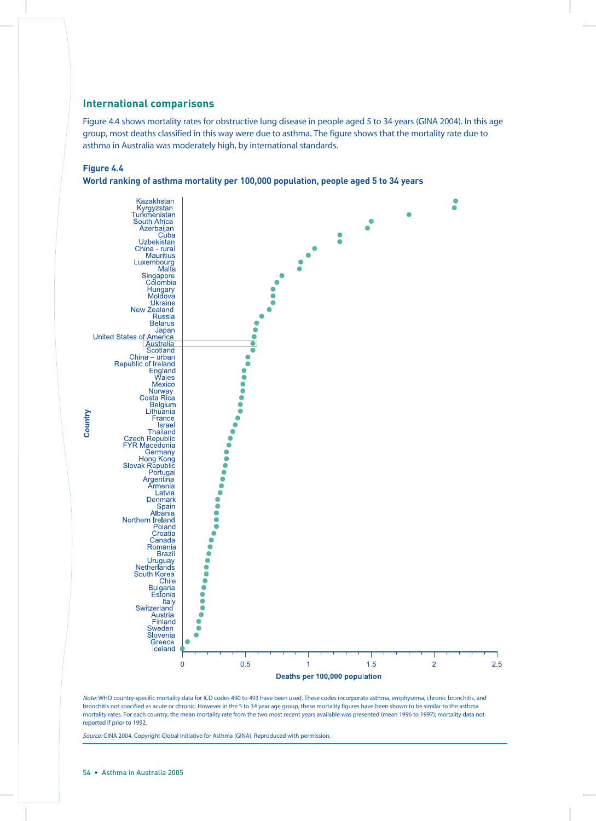#### **International comparisons**

Figure 4.4 shows mortality rates for obstructive lung disease in people aged 5 to 34 years (GINA 2004). In this age group, most deaths classified in this way were due to asthma. The figure shows that the mortality rate due to asthma in Australia was moderately high, by international standards.

#### **Figure 4.4**





Note: WHO country-specific mortality data for ICD codes 490 to 493 have been used. These codes incorporate asthma, emphysema, chronic bronchitis, and bronchitis not specified as acute or chronic. However in the 5 to 34 year age group, these mortality figures have been shown to be similar to the asthma mortality rates. For each country, the mean mortality rate from the two most recent years available was presented (mean 1996 to 1997); mortality data not reported if prior to 1992.

Source: GINA 2004. Copyright Global Initiative for Asthma (GINA). Reproduced with permission.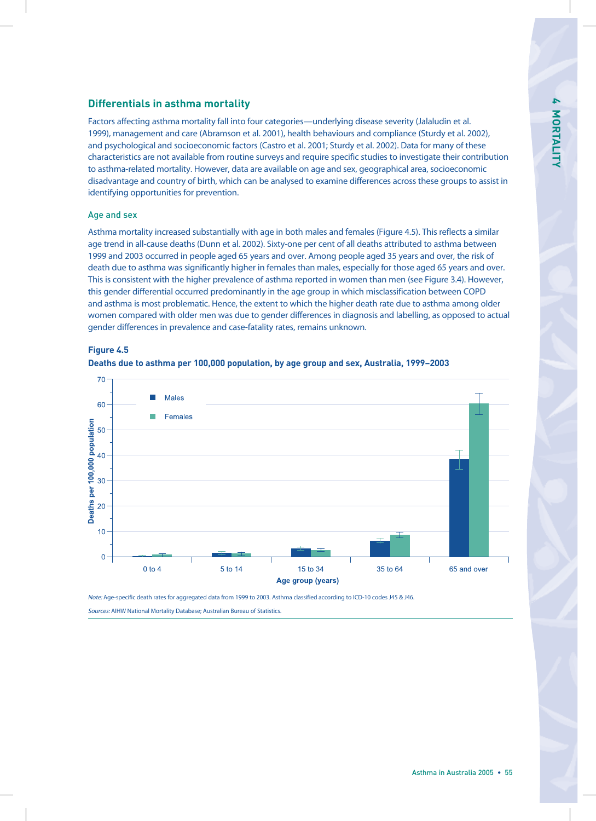## **Differentials in asthma mortality**

Factors affecting asthma mortality fall into four categories—underlying disease severity (Jalaludin et al. 1999), management and care (Abramson et al. 2001), health behaviours and compliance (Sturdy et al. 2002), and psychological and socioeconomic factors (Castro et al. 2001; Sturdy et al. 2002). Data for many of these characteristics are not available from routine surveys and require specific studies to investigate their contribution to asthma-related mortality. However, data are available on age and sex, geographical area, socioeconomic disadvantage and country of birth, which can be analysed to examine differences across these groups to assist in identifying opportunities for prevention.

#### Age and sex

Asthma mortality increased substantially with age in both males and females (Figure 4.5). This reflects a similar age trend in all-cause deaths (Dunn et al. 2002). Sixty-one per cent of all deaths attributed to asthma between 1999 and 2003 occurred in people aged 65 years and over. Among people aged 35 years and over, the risk of death due to asthma was significantly higher in females than males, especially for those aged 65 years and over. This is consistent with the higher prevalence of asthma reported in women than men (see Figure 3.4). However, this gender differential occurred predominantly in the age group in which misclassification between COPD and asthma is most problematic. Hence, the extent to which the higher death rate due to asthma among older women compared with older men was due to gender differences in diagnosis and labelling, as opposed to actual gender differences in prevalence and case-fatality rates, remains unknown.







Note: Age-specific death rates for aggregated data from 1999 to 2003. Asthma classified according to ICD-10 codes J45 & J46.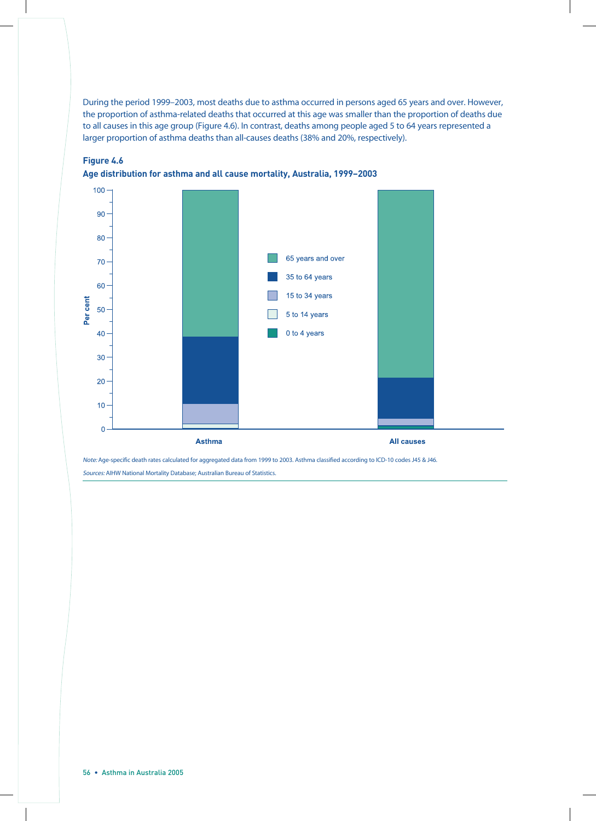During the period 1999–2003, most deaths due to asthma occurred in persons aged 65 years and over. However, the proportion of asthma-related deaths that occurred at this age was smaller than the proportion of deaths due to all causes in this age group (Figure 4.6). In contrast, deaths among people aged 5 to 64 years represented a larger proportion of asthma deaths than all-causes deaths (38% and 20%, respectively).





Note: Age-specific death rates calculated for aggregated data from 1999 to 2003. Asthma classified according to ICD-10 codes J45 & J46. Sources: AIHW National Mortality Database; Australian Bureau of Statistics.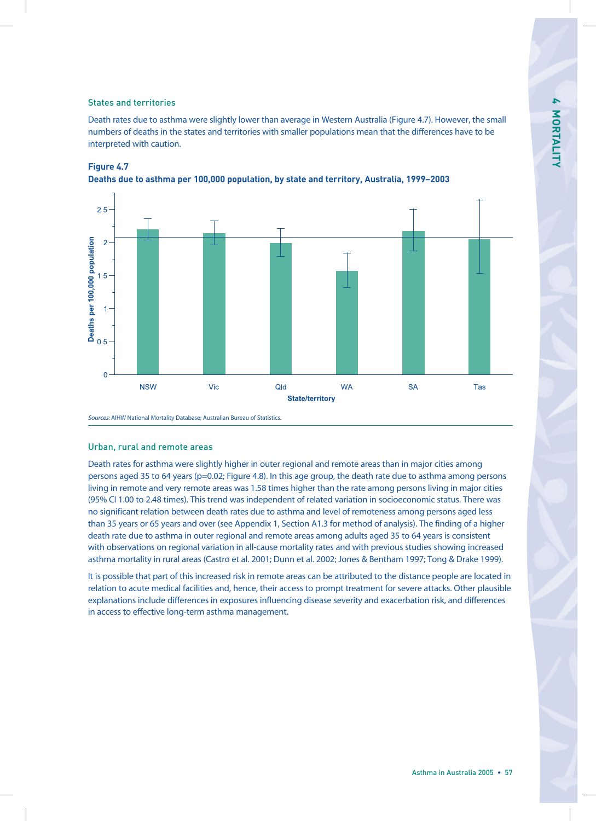#### States and territories

Death rates due to asthma were slightly lower than average in Western Australia (Figure 4.7). However, the small numbers of deaths in the states and territories with smaller populations mean that the differences have to be interpreted with caution.



#### **Figure 4.7**

**Deaths due to asthma per 100,000 population, by state and territory, Australia, 1999–2003**

Sources: AIHW National Mortality Database; Australian Bureau of Statistics.

#### Urban, rural and remote areas

Death rates for asthma were slightly higher in outer regional and remote areas than in major cities among persons aged 35 to 64 years (p=0.02; Figure 4.8). In this age group, the death rate due to asthma among persons living in remote and very remote areas was 1.58 times higher than the rate among persons living in major cities (95% CI 1.00 to 2.48 times). This trend was independent of related variation in socioeconomic status. There was no significant relation between death rates due to asthma and level of remoteness among persons aged less than 35 years or 65 years and over (see Appendix 1, Section A1.3 for method of analysis). The finding of a higher death rate due to asthma in outer regional and remote areas among adults aged 35 to 64 years is consistent with observations on regional variation in all-cause mortality rates and with previous studies showing increased asthma mortality in rural areas (Castro et al. 2001; Dunn et al. 2002; Jones & Bentham 1997; Tong & Drake 1999).

It is possible that part of this increased risk in remote areas can be attributed to the distance people are located in relation to acute medical facilities and, hence, their access to prompt treatment for severe attacks. Other plausible explanations include differences in exposures influencing disease severity and exacerbation risk, and differences in access to effective long-term asthma management.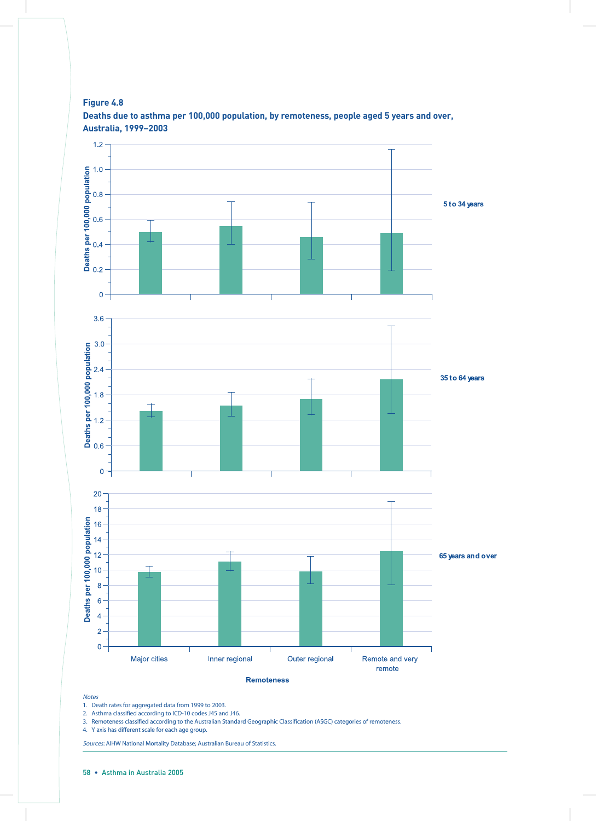

**Figure 4.8 Deaths due to asthma per 100,000 population, by remoteness, people aged 5 years and over, Australia, 1999–2003**

#### Notes

1. Death rates for aggregated data from 1999 to 2003.

2. Asthma classified according to ICD-10 codes J45 and J46.

3. Remoteness classified according to the Australian Standard Geographic Classification (ASGC) categories of remoteness.

4. Y axis has different scale for each age group.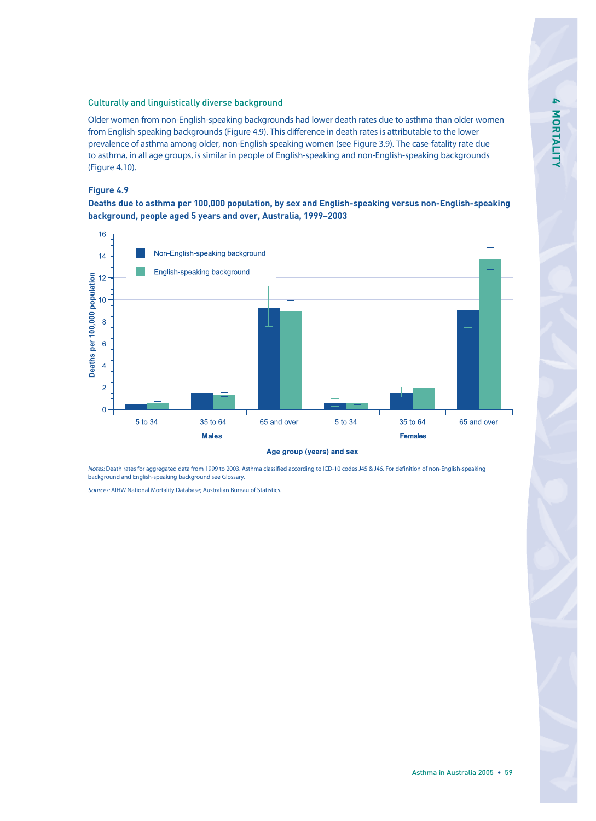#### Culturally and linguistically diverse background

Older women from non-English-speaking backgrounds had lower death rates due to asthma than older women from English-speaking backgrounds (Figure 4.9). This difference in death rates is attributable to the lower prevalence of asthma among older, non-English-speaking women (see Figure 3.9). The case-fatality rate due to asthma, in all age groups, is similar in people of English-speaking and non-English-speaking backgrounds (Figure 4.10).

#### **Figure 4.9**

**Deaths due to asthma per 100,000 population, by sex and English-speaking versus non-English-speaking background, people aged 5 years and over, Australia, 1999–2003** 



Notes: Death rates for aggregated data from 1999 to 2003. Asthma classified according to ICD-10 codes J45 & J46. For definition of non-English-speaking background and English-speaking background see Glossary.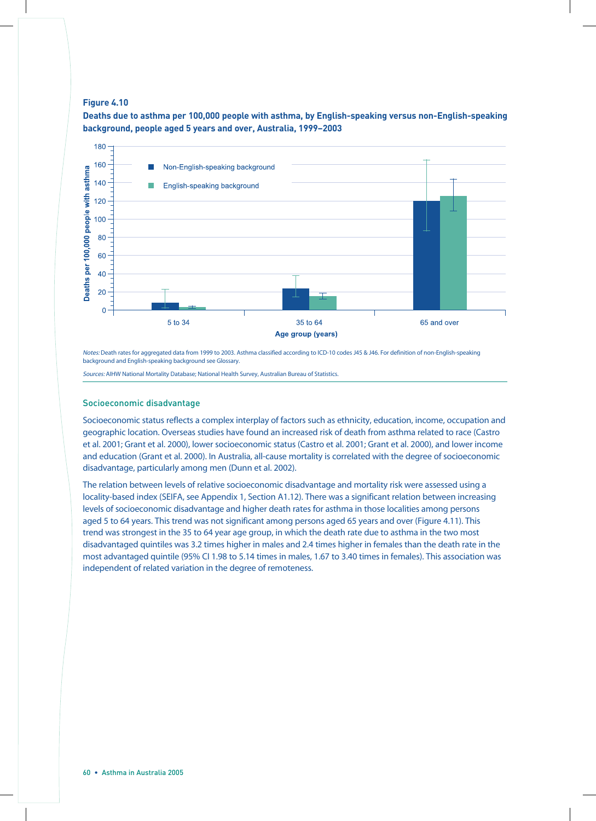#### **Figure 4.10**

**Deaths due to asthma per 100,000 people with asthma, by English-speaking versus non-English-speaking background, people aged 5 years and over, Australia, 1999–2003**



Notes: Death rates for aggregated data from 1999 to 2003. Asthma classified according to ICD-10 codes J45 & J46. For definition of non-English-speaking background and English-speaking background see Glossary.

Sources: AIHW National Mortality Database; National Health Survey, Australian Bureau of Statistics.

#### Socioeconomic disadvantage

Socioeconomic status reflects a complex interplay of factors such as ethnicity, education, income, occupation and geographic location. Overseas studies have found an increased risk of death from asthma related to race (Castro et al. 2001; Grant et al. 2000), lower socioeconomic status (Castro et al. 2001; Grant et al. 2000), and lower income and education (Grant et al. 2000). In Australia, all-cause mortality is correlated with the degree of socioeconomic disadvantage, particularly among men (Dunn et al. 2002).

The relation between levels of relative socioeconomic disadvantage and mortality risk were assessed using a locality-based index (SEIFA, see Appendix 1, Section A1.12). There was a significant relation between increasing levels of socioeconomic disadvantage and higher death rates for asthma in those localities among persons aged 5 to 64 years. This trend was not significant among persons aged 65 years and over (Figure 4.11). This trend was strongest in the 35 to 64 year age group, in which the death rate due to asthma in the two most disadvantaged quintiles was 3.2 times higher in males and 2.4 times higher in females than the death rate in the most advantaged quintile (95% CI 1.98 to 5.14 times in males, 1.67 to 3.40 times in females). This association was independent of related variation in the degree of remoteness.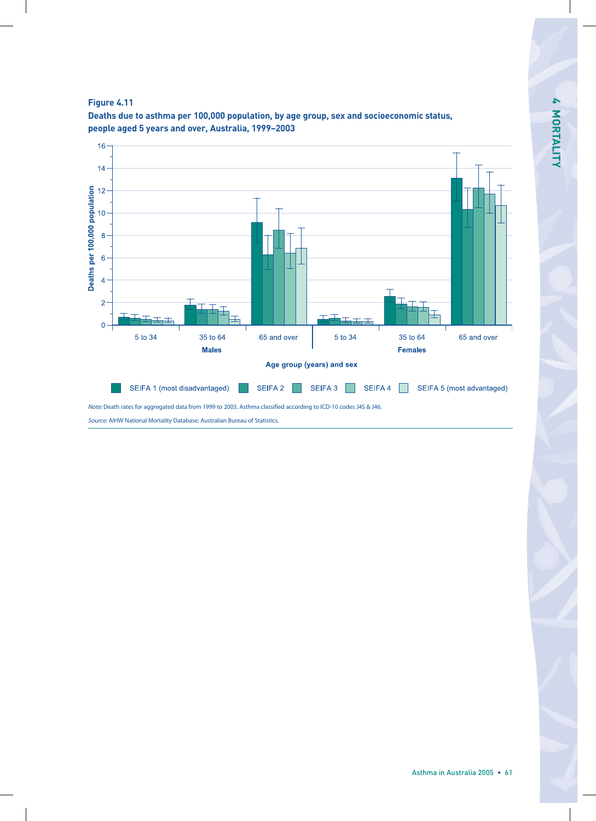



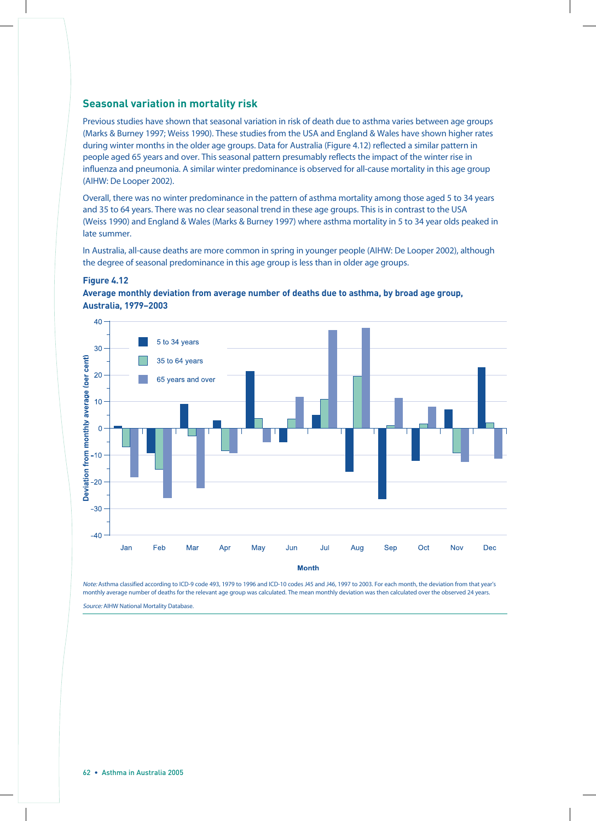#### **Seasonal variation in mortality risk**

Previous studies have shown that seasonal variation in risk of death due to asthma varies between age groups (Marks & Burney 1997; Weiss 1990). These studies from the USA and England & Wales have shown higher rates during winter months in the older age groups. Data for Australia (Figure 4.12) reflected a similar pattern in people aged 65 years and over. This seasonal pattern presumably reflects the impact of the winter rise in influenza and pneumonia. A similar winter predominance is observed for all-cause mortality in this age group (AIHW: De Looper 2002).

Overall, there was no winter predominance in the pattern of asthma mortality among those aged 5 to 34 years and 35 to 64 years. There was no clear seasonal trend in these age groups. This is in contrast to the USA (Weiss 1990) and England & Wales (Marks & Burney 1997) where asthma mortality in 5 to 34 year olds peaked in late summer.

In Australia, all-cause deaths are more common in spring in younger people (AIHW: De Looper 2002), although the degree of seasonal predominance in this age group is less than in older age groups.

#### **Figure 4.12**





Note: Asthma classified according to ICD-9 code 493, 1979 to 1996 and ICD-10 codes J45 and J46, 1997 to 2003. For each month, the deviation from that year's monthly average number of deaths for the relevant age group was calculated. The mean monthly deviation was then calculated over the observed 24 years.

Source: AIHW National Mortality Database.